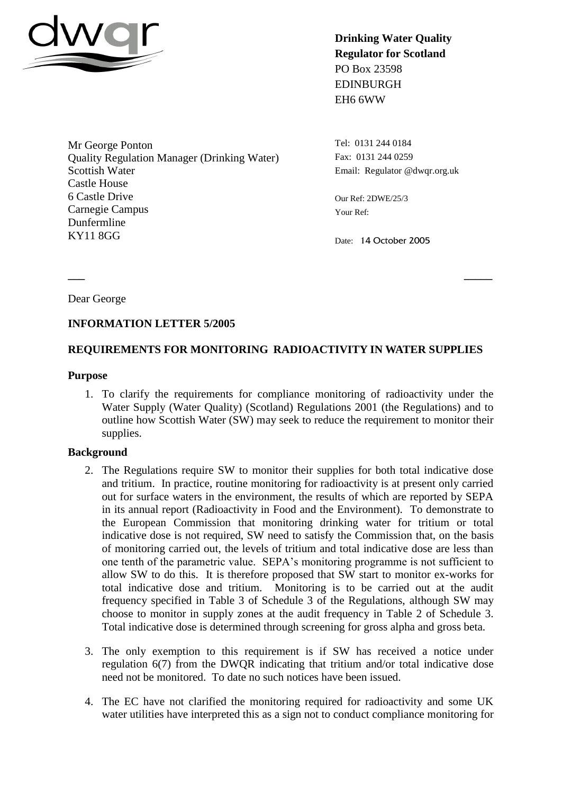

**Drinking Water Quality Regulator for Scotland** PO Box 23598 EDINBURGH EH6 6WW

Mr George Ponton Quality Regulation Manager (Drinking Water) Scottish Water Castle House 6 Castle Drive Carnegie Campus Dunfermline KY11 8GG

Tel: 0131 244 0184 Fax: 0131 244 0259 Email: Regulator @dwqr.org.uk

Our Ref: 2DWE/25/3 Your Ref:

Date: 14 October 2005

Dear George

## **INFORMATION LETTER 5/2005**

## **REQUIREMENTS FOR MONITORING RADIOACTIVITY IN WATER SUPPLIES**

**\_\_\_ \_\_\_\_\_**

#### **Purpose**

1. To clarify the requirements for compliance monitoring of radioactivity under the Water Supply (Water Quality) (Scotland) Regulations 2001 (the Regulations) and to outline how Scottish Water (SW) may seek to reduce the requirement to monitor their supplies.

#### **Background**

- 2. The Regulations require SW to monitor their supplies for both total indicative dose and tritium. In practice, routine monitoring for radioactivity is at present only carried out for surface waters in the environment, the results of which are reported by SEPA in its annual report (Radioactivity in Food and the Environment). To demonstrate to the European Commission that monitoring drinking water for tritium or total indicative dose is not required, SW need to satisfy the Commission that, on the basis of monitoring carried out, the levels of tritium and total indicative dose are less than one tenth of the parametric value. SEPA's monitoring programme is not sufficient to allow SW to do this. It is therefore proposed that SW start to monitor ex-works for total indicative dose and tritium. Monitoring is to be carried out at the audit frequency specified in Table 3 of Schedule 3 of the Regulations, although SW may choose to monitor in supply zones at the audit frequency in Table 2 of Schedule 3. Total indicative dose is determined through screening for gross alpha and gross beta.
- 3. The only exemption to this requirement is if SW has received a notice under regulation 6(7) from the DWQR indicating that tritium and/or total indicative dose need not be monitored. To date no such notices have been issued.
- 4. The EC have not clarified the monitoring required for radioactivity and some UK water utilities have interpreted this as a sign not to conduct compliance monitoring for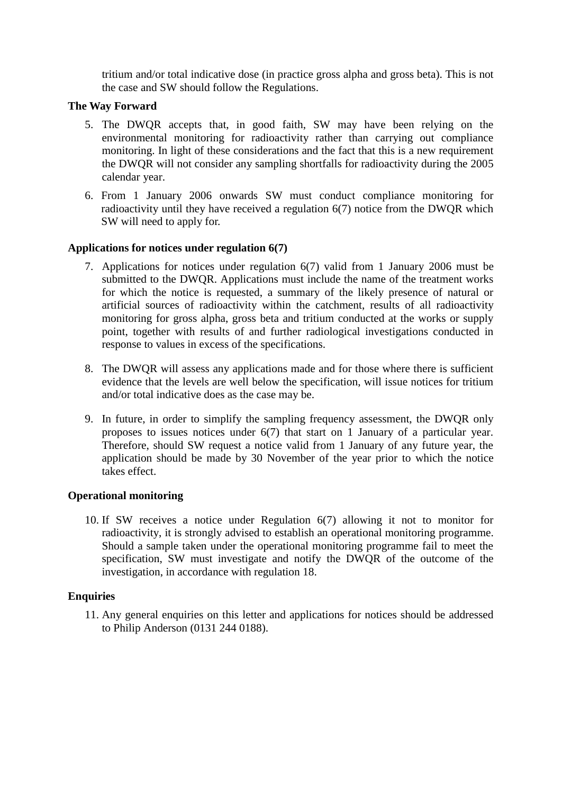tritium and/or total indicative dose (in practice gross alpha and gross beta). This is not the case and SW should follow the Regulations.

## **The Way Forward**

- 5. The DWQR accepts that, in good faith, SW may have been relying on the environmental monitoring for radioactivity rather than carrying out compliance monitoring. In light of these considerations and the fact that this is a new requirement the DWQR will not consider any sampling shortfalls for radioactivity during the 2005 calendar year.
- 6. From 1 January 2006 onwards SW must conduct compliance monitoring for radioactivity until they have received a regulation 6(7) notice from the DWQR which SW will need to apply for.

## **Applications for notices under regulation 6(7)**

- 7. Applications for notices under regulation 6(7) valid from 1 January 2006 must be submitted to the DWQR. Applications must include the name of the treatment works for which the notice is requested, a summary of the likely presence of natural or artificial sources of radioactivity within the catchment, results of all radioactivity monitoring for gross alpha, gross beta and tritium conducted at the works or supply point, together with results of and further radiological investigations conducted in response to values in excess of the specifications.
- 8. The DWQR will assess any applications made and for those where there is sufficient evidence that the levels are well below the specification, will issue notices for tritium and/or total indicative does as the case may be.
- 9. In future, in order to simplify the sampling frequency assessment, the DWQR only proposes to issues notices under 6(7) that start on 1 January of a particular year. Therefore, should SW request a notice valid from 1 January of any future year, the application should be made by 30 November of the year prior to which the notice takes effect.

# **Operational monitoring**

10. If SW receives a notice under Regulation 6(7) allowing it not to monitor for radioactivity, it is strongly advised to establish an operational monitoring programme. Should a sample taken under the operational monitoring programme fail to meet the specification, SW must investigate and notify the DWQR of the outcome of the investigation, in accordance with regulation 18.

# **Enquiries**

11. Any general enquiries on this letter and applications for notices should be addressed to Philip Anderson (0131 244 0188).